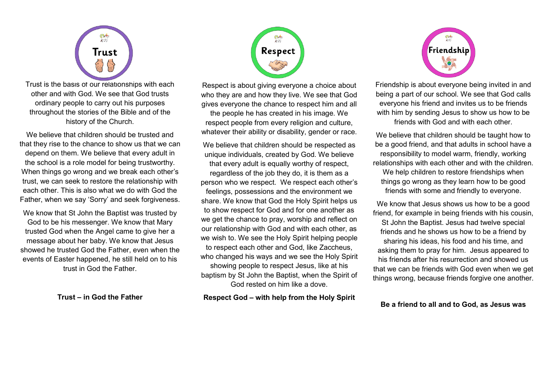

Trust is the basis of our relationships with each other and with God. We see that God trusts ordinary people to carry out his purposes throughout the stories of the Bible and of the history of the Church.

We believe that children should be trusted and that they rise to the chance to show us that we can depend on them. We believe that every adult in the school is a role model for being trustworthy. When things go wrong and we break each other's trust, we can seek to restore the relationship with each other. This is also what we do with God the Father, when we say 'Sorry' and seek forgiveness.

We know that St John the Baptist was trusted by God to be his messenger. We know that Mary trusted God when the Angel came to give her a message about her baby. We know that Jesus showed he trusted God the Father, even when the events of Easter happened, he still held on to his trust in God the Father.

**Trust – in God the Father**



Respect is about giving everyone a choice about who they are and how they live. We see that God gives everyone the chance to respect him and all the people he has created in his image. We respect people from every religion and culture, whatever their ability or disability, gender or race.

We believe that children should be respected as unique individuals, created by God. We believe that every adult is equally worthy of respect, regardless of the job they do, it is them as a person who we respect. We respect each other's feelings, possessions and the environment we share. We know that God the Holy Spirit helps us to show respect for God and for one another as we get the chance to pray, worship and reflect on our relationship with God and with each other, as we wish to. We see the Holy Spirit helping people to respect each other and God, like Zaccheus, who changed his ways and we see the Holy Spirit showing people to respect Jesus, like at his baptism by St John the Baptist, when the Spirit of God rested on him like a dove.

**Respect God – with help from the Holy Spirit**



Friendship is about everyone being invited in and being a part of our school. We see that God calls everyone his friend and invites us to be friends with him by sending Jesus to show us how to be friends with God and with each other.

We believe that children should be taught how to be a good friend, and that adults in school have a responsibility to model warm, friendly, working relationships with each other and with the children. We help children to restore friendships when things go wrong as they learn how to be good

friends with some and friendly to everyone.

We know that Jesus shows us how to be a good friend, for example in being friends with his cousin, St John the Baptist. Jesus had twelve special friends and he shows us how to be a friend by sharing his ideas, his food and his time, and asking them to pray for him. Jesus appeared to his friends after his resurrection and showed us that we can be friends with God even when we get things wrong, because friends forgive one another.

## **Be a friend to all and to God, as Jesus was**